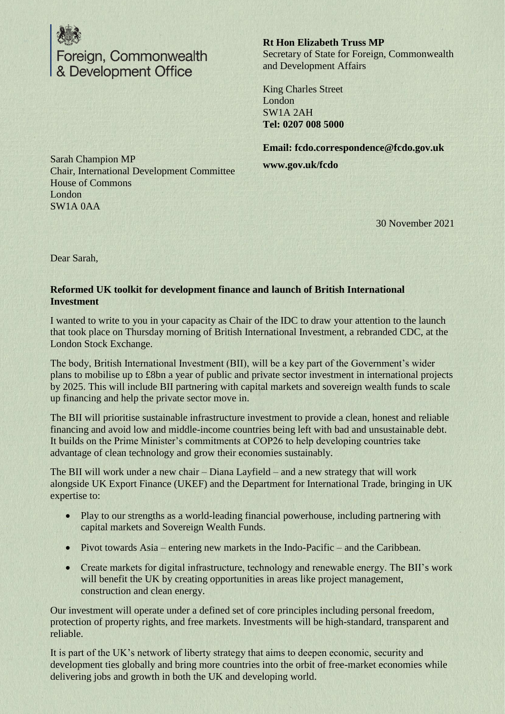

**Rt Hon Elizabeth Truss MP** Secretary of State for Foreign, Commonwealth and Development Affairs

King Charles Street London SW1A 2AH **Tel: 0207 008 5000**

**Email: fcdo.correspondence@fcdo.gov.uk www.gov.uk/fcdo**

Sarah Champion MP Chair, International Development Committee House of Commons London SW1A 0AA

30 November 2021

Dear Sarah,

## **Reformed UK toolkit for development finance and launch of British International Investment**

I wanted to write to you in your capacity as Chair of the IDC to draw your attention to the launch that took place on Thursday morning of British International Investment, a rebranded CDC, at the London Stock Exchange.

The body, British International Investment (BII), will be a key part of the Government's wider plans to mobilise up to £8bn a year of public and private sector investment in international projects by 2025. This will include BII partnering with capital markets and sovereign wealth funds to scale up financing and help the private sector move in.

The BII will prioritise sustainable infrastructure investment to provide a clean, honest and reliable financing and avoid low and middle-income countries being left with bad and unsustainable debt. It builds on the Prime Minister's commitments at COP26 to help developing countries take advantage of clean technology and grow their economies sustainably.

The BII will work under a new chair – Diana Layfield – and a new strategy that will work alongside UK Export Finance (UKEF) and the Department for International Trade, bringing in UK expertise to:

- Play to our strengths as a world-leading financial powerhouse, including partnering with capital markets and Sovereign Wealth Funds.
- Pivot towards Asia entering new markets in the Indo-Pacific and the Caribbean.
- Create markets for digital infrastructure, technology and renewable energy. The BII's work will benefit the UK by creating opportunities in areas like project management, construction and clean energy.

Our investment will operate under a defined set of core principles including personal freedom, protection of property rights, and free markets. Investments will be high-standard, transparent and reliable.

It is part of the UK's network of liberty strategy that aims to deepen economic, security and development ties globally and bring more countries into the orbit of free-market economies while delivering jobs and growth in both the UK and developing world.